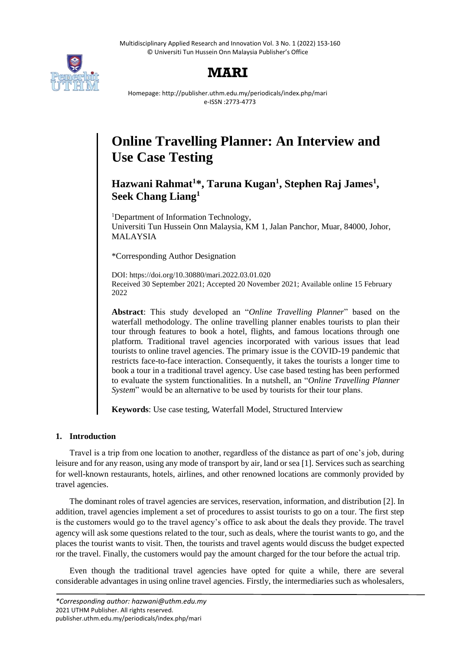Multidisciplinary Applied Research and Innovation Vol. 3 No. 1 (2022) 153-160 © Universiti Tun Hussein Onn Malaysia Publisher's Office



# **MARI**

Homepage: http://publisher.uthm.edu.my/periodicals/index.php/mari e-ISSN :2773-4773

# **Online Travelling Planner: An Interview and Use Case Testing**

**Hazwani Rahmat<sup>1</sup>\*, Taruna Kugan<sup>1</sup> , Stephen Raj James<sup>1</sup> , Seek Chang Liang<sup>1</sup>**

<sup>1</sup>Department of Information Technology, Universiti Tun Hussein Onn Malaysia, KM 1, Jalan Panchor, Muar, 84000, Johor, MALAYSIA

\*Corresponding Author Designation

DOI: https://doi.org/10.30880/mari.2022.03.01.020 Received 30 September 2021; Accepted 20 November 2021; Available online 15 February 2022

**Abstract**: This study developed an "*Online Travelling Planner*" based on the waterfall methodology. The online travelling planner enables tourists to plan their tour through features to book a hotel, flights, and famous locations through one platform. Traditional travel agencies incorporated with various issues that lead tourists to online travel agencies. The primary issue is the COVID-19 pandemic that restricts face-to-face interaction. Consequently, it takes the tourists a longer time to book a tour in a traditional travel agency. Use case based testing has been performed to evaluate the system functionalities. In a nutshell, an "*Online Travelling Planner System*" would be an alternative to be used by tourists for their tour plans.

**Keywords**: Use case testing, Waterfall Model, Structured Interview

# **1. Introduction**

Travel is a trip from one location to another, regardless of the distance as part of one's job, during leisure and for any reason, using any mode of transport by air, land or sea [1]. Services such as searching for well-known restaurants, hotels, airlines, and other renowned locations are commonly provided by travel agencies.

The dominant roles of travel agencies are services, reservation, information, and distribution [2]. In addition, travel agencies implement a set of procedures to assist tourists to go on a tour. The first step is the customers would go to the travel agency's office to ask about the deals they provide. The travel agency will ask some questions related to the tour, such as deals, where the tourist wants to go, and the places the tourist wants to visit. Then, the tourists and travel agents would discuss the budget expected for the travel. Finally, the customers would pay the amount charged for the tour before the actual trip.

Even though the traditional travel agencies have opted for quite a while, there are several considerable advantages in using online travel agencies. Firstly, the intermediaries such as wholesalers,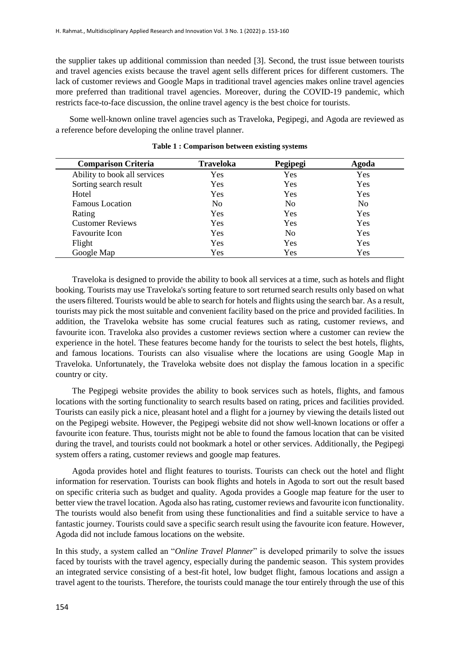the supplier takes up additional commission than needed [3]. Second, the trust issue between tourists and travel agencies exists because the travel agent sells different prices for different customers. The lack of customer reviews and Google Maps in traditional travel agencies makes online travel agencies more preferred than traditional travel agencies. Moreover, during the COVID-19 pandemic, which restricts face-to-face discussion, the online travel agency is the best choice for tourists.

Some well-known online travel agencies such as Traveloka, Pegipegi, and Agoda are reviewed as a reference before developing the online travel planner.

| <b>Comparison Criteria</b>   | <b>Traveloka</b> | Pegipegi       | Agoda          |
|------------------------------|------------------|----------------|----------------|
| Ability to book all services | Yes              | Yes            | Yes            |
| Sorting search result        | Yes              | Yes            | Yes            |
| Hotel                        | Yes              | Yes            | Yes            |
| <b>Famous Location</b>       | No               | N <sub>0</sub> | N <sub>o</sub> |
| Rating                       | Yes              | Yes            | Yes            |
| <b>Customer Reviews</b>      | Yes              | Yes            | Yes            |
| <b>Favourite Icon</b>        | Yes              | N <sub>0</sub> | Yes            |
| Flight                       | Yes              | Yes            | Yes            |
| Google Map                   | Yes              | Yes            | Yes            |

**Table 1 : Comparison between existing systems**

Traveloka is designed to provide the ability to book all services at a time, such as hotels and flight booking. Tourists may use Traveloka's sorting feature to sort returned search results only based on what the users filtered. Tourists would be able to search for hotels and flights using the search bar. As a result, tourists may pick the most suitable and convenient facility based on the price and provided facilities. In addition, the Traveloka website has some crucial features such as rating, customer reviews, and favourite icon. Traveloka also provides a customer reviews section where a customer can review the experience in the hotel. These features become handy for the tourists to select the best hotels, flights, and famous locations. Tourists can also visualise where the locations are using Google Map in Traveloka. Unfortunately, the Traveloka website does not display the famous location in a specific country or city.

The Pegipegi website provides the ability to book services such as hotels, flights, and famous locations with the sorting functionality to search results based on rating, prices and facilities provided. Tourists can easily pick a nice, pleasant hotel and a flight for a journey by viewing the details listed out on the Pegipegi website. However, the Pegipegi website did not show well-known locations or offer a favourite icon feature. Thus, tourists might not be able to found the famous location that can be visited during the travel, and tourists could not bookmark a hotel or other services. Additionally, the Pegipegi system offers a rating, customer reviews and google map features.

Agoda provides hotel and flight features to tourists. Tourists can check out the hotel and flight information for reservation. Tourists can book flights and hotels in Agoda to sort out the result based on specific criteria such as budget and quality. Agoda provides a Google map feature for the user to better view the travel location. Agoda also has rating, customer reviews and favourite icon functionality. The tourists would also benefit from using these functionalities and find a suitable service to have a fantastic journey. Tourists could save a specific search result using the favourite icon feature. However, Agoda did not include famous locations on the website.

In this study, a system called an "*Online Travel Planner*" is developed primarily to solve the issues faced by tourists with the travel agency, especially during the pandemic season. This system provides an integrated service consisting of a best-fit hotel, low budget flight, famous locations and assign a travel agent to the tourists. Therefore, the tourists could manage the tour entirely through the use of this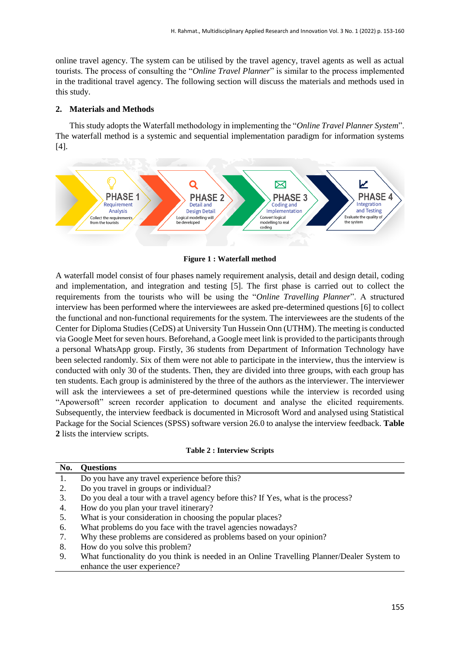online travel agency. The system can be utilised by the travel agency, travel agents as well as actual tourists. The process of consulting the "*Online Travel Planner*" is similar to the process implemented in the traditional travel agency. The following section will discuss the materials and methods used in this study.

#### **2. Materials and Methods**

This study adopts the Waterfall methodology in implementing the "*Online Travel Planner System*". The waterfall method is a systemic and sequential implementation paradigm for information systems [4].



**Figure 1 : Waterfall method**

A waterfall model consist of four phases namely requirement analysis, detail and design detail, coding and implementation, and integration and testing [5]. The first phase is carried out to collect the requirements from the tourists who will be using the "*Online Travelling Planner*". A structured interview has been performed where the interviewees are asked pre-determined questions [6] to collect the functional and non-functional requirements for the system. The interviewees are the students of the Center for Diploma Studies (CeDS) at University Tun Hussein Onn (UTHM). The meeting is conducted via Google Meet for seven hours. Beforehand, a Google meet link is provided to the participants through a personal WhatsApp group. Firstly, 36 students from Department of Information Technology have been selected randomly. Six of them were not able to participate in the interview, thus the interview is conducted with only 30 of the students. Then, they are divided into three groups, with each group has ten students. Each group is administered by the three of the authors as the interviewer. The interviewer will ask the interviewees a set of pre-determined questions while the interview is recorded using "Apowersoft" screen recorder application to document and analyse the elicited requirements. Subsequently, the interview feedback is documented in Microsoft Word and analysed using Statistical Package for the Social Sciences (SPSS) software version 26.0 to analyse the interview feedback. **Table 2** lists the interview scripts.

#### **Table 2 : Interview Scripts**

| No. | <b>Questions</b>                                                                  |
|-----|-----------------------------------------------------------------------------------|
|     | Do you have any travel experience before this?                                    |
| 2.  | Do you travel in groups or individual?                                            |
| 3.  | Do you deal a tour with a travel agency before this? If Yes, what is the process? |
| 4.  | How do you plan your travel itinerary?                                            |
| 5.  | What is your consideration in choosing the popular places?                        |
| 6.  | What problems do you face with the travel agencies nowadays?                      |
| 7.  | Why these problems are considered as problems based on your opinion?              |
| 8.  | How do you solve this problem?                                                    |
|     |                                                                                   |

9. What functionality do you think is needed in an Online Travelling Planner/Dealer System to enhance the user experience?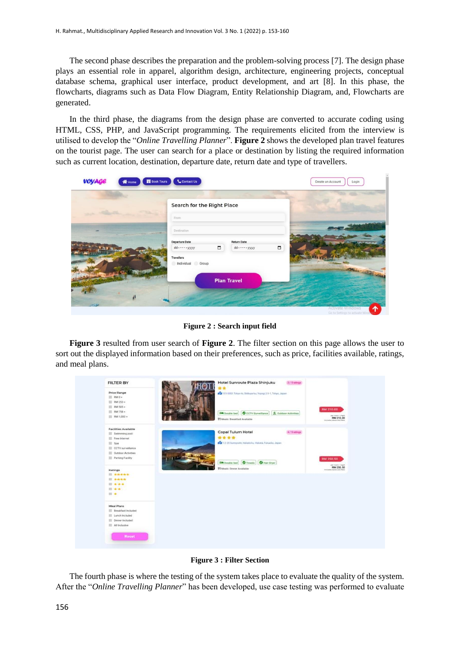The second phase describes the preparation and the problem-solving process [7]. The design phase plays an essential role in apparel, algorithm design, architecture, engineering projects, conceptual database schema, graphical user interface, product development, and art [8]. In this phase, the flowcharts, diagrams such as Data Flow Diagram, Entity Relationship Diagram, and, Flowcharts are generated.

In the third phase, the diagrams from the design phase are converted to accurate coding using HTML, CSS, PHP, and JavaScript programming. The requirements elicited from the interview is utilised to develop the "*Online Travelling Planner*". **Figure 2** shows the developed plan travel features on the tourist page. The user can search for a place or destination by listing the required information such as current location, destination, departure date, return date and type of travellers.

| voyage<br><b>W</b> Home | <b>B</b> Book Tours<br>Contact Us                                                 | Create an Account<br>Login                                                                                                                                                                                                           |
|-------------------------|-----------------------------------------------------------------------------------|--------------------------------------------------------------------------------------------------------------------------------------------------------------------------------------------------------------------------------------|
|                         | Search for the Right Place                                                        |                                                                                                                                                                                                                                      |
|                         | From<br>Destination                                                               |                                                                                                                                                                                                                                      |
|                         | Departure Date<br><b>Return Date</b><br>$\Box$<br>dd-----yyyy<br>dd-----yyyy<br>n | <b>THURSDAY</b>                                                                                                                                                                                                                      |
|                         | <b>Travellers</b><br>Individual Group                                             | <b>Contact Contact Contact Contact Contact Contact Contact Contact Contact Contact Contact Contact Contact Contact Contact Contact Contact Contact Contact Contact Contact Contact Contact Contact Contact Contact Contact Conta</b> |
|                         | <b>Plan Travel</b>                                                                |                                                                                                                                                                                                                                      |
| 24                      |                                                                                   | ^<br><b>Activate Windows</b><br>City for Continuous for publicate                                                                                                                                                                    |

**Figure 2 : Search input field**

**Figure 3** resulted from user search of **Figure 2**. The filter section on this page allows the user to sort out the displayed information based on their preferences, such as price, facilities available, ratings, and meal plans.



**Figure 3 : Filter Section**

The fourth phase is where the testing of the system takes place to evaluate the quality of the system. After the "*Online Travelling Planner*" has been developed, use case testing was performed to evaluate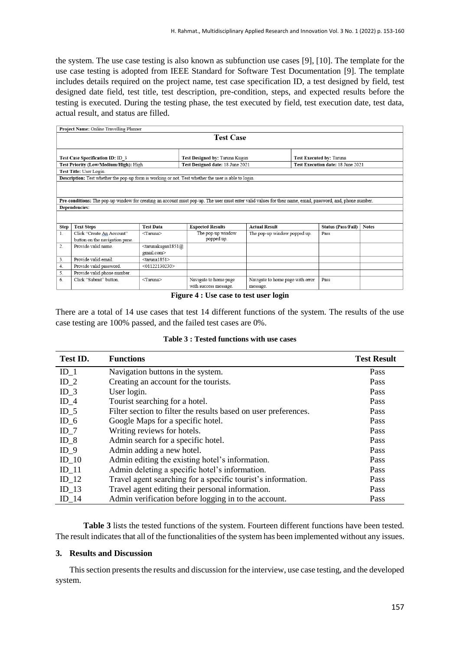the system. The use case testing is also known as subfunction use cases [9], [10]. The template for the use case testing is adopted from IEEE Standard for Software Test Documentation [9]. The template includes details required on the project name, test case specification ID, a test designed by field, test designed date field, test title, test description, pre-condition, steps, and expected results before the testing is executed. During the testing phase, the test executed by field, test execution date, test data, actual result, and status are filled.

|                                                                                                                                                                              | Project Name: Online Travelling Planner                                                              |                                                                                            |                                                |                                              |                                   |                    |              |
|------------------------------------------------------------------------------------------------------------------------------------------------------------------------------|------------------------------------------------------------------------------------------------------|--------------------------------------------------------------------------------------------|------------------------------------------------|----------------------------------------------|-----------------------------------|--------------------|--------------|
| <b>Test Case</b>                                                                                                                                                             |                                                                                                      |                                                                                            |                                                |                                              |                                   |                    |              |
| Test Case Specification ID: ID 3                                                                                                                                             |                                                                                                      |                                                                                            | Test Designed by: Taruna Kugan                 |                                              | Test Executed by: Taruna          |                    |              |
|                                                                                                                                                                              | Test Priority (Low/Medium/High): High                                                                |                                                                                            | Test Designed date: 18 June 2021               |                                              | Test Execution date: 18 June 2021 |                    |              |
|                                                                                                                                                                              | Test Title: User Login.                                                                              |                                                                                            |                                                |                                              |                                   |                    |              |
|                                                                                                                                                                              | Description: Test whether the pop-up form is working or not. Test whether the user is able to login. |                                                                                            |                                                |                                              |                                   |                    |              |
| Pre-conditions: The pop-up window for creating an account must pop-up. The user must enter valid values for their name, email, password, and, phone number.<br>Dependencies: |                                                                                                      |                                                                                            |                                                |                                              |                                   |                    |              |
| Step                                                                                                                                                                         | <b>Text Steps</b>                                                                                    | <b>Test Data</b>                                                                           | <b>Expected Results</b>                        | <b>Actual Result</b>                         |                                   | Status (Pass/Fail) | <b>Notes</b> |
| 1.                                                                                                                                                                           | Click "Create An Account"<br>button on the navigation pane.                                          | <taruna></taruna>                                                                          | The pop-up window<br>popped up.                | The pop-up window popped up.                 |                                   | Pass               |              |
| 2.                                                                                                                                                                           | Provide valid name                                                                                   | <tarunakugan1851@< td=""><td></td><td></td><td></td><td></td><td></td></tarunakugan1851@<> |                                                |                                              |                                   |                    |              |
|                                                                                                                                                                              |                                                                                                      | gmail.com>                                                                                 |                                                |                                              |                                   |                    |              |
| 3.                                                                                                                                                                           | Provide valid email.                                                                                 | $<$ taruna1851>                                                                            |                                                |                                              |                                   |                    |              |
| 4.                                                                                                                                                                           | Provide valid password.                                                                              | $<$ 01122130230 $>$                                                                        |                                                |                                              |                                   |                    |              |
| 5.                                                                                                                                                                           | Provide valid phone number.                                                                          |                                                                                            |                                                |                                              |                                   |                    |              |
| 6.                                                                                                                                                                           | Click "Submit" button                                                                                | <taruna></taruna>                                                                          | Navigate to home page<br>with success message. | Navigate to home page with error<br>message. |                                   | Pass               |              |

**Figure 4 : Use case to test user login**

There are a total of 14 use cases that test 14 different functions of the system. The results of the use case testing are 100% passed, and the failed test cases are 0%.

**Table 3 : Tested functions with use cases**

| Test ID.        | <b>Functions</b>                                                | <b>Test Result</b> |
|-----------------|-----------------------------------------------------------------|--------------------|
| $ID_1$          | Navigation buttons in the system.                               | Pass               |
| $ID_2$          | Creating an account for the tourists.                           | Pass               |
| $ID_3$          | User login.                                                     | Pass               |
| $ID_4$          | Tourist searching for a hotel.                                  | Pass               |
| $ID_5$          | Filter section to filter the results based on user preferences. | Pass               |
| $ID_6$          | Google Maps for a specific hotel.                               | Pass               |
| $ID_7$          | Writing reviews for hotels.                                     | Pass               |
| $ID_8$          | Admin search for a specific hotel.                              | Pass               |
| ID <sub>9</sub> | Admin adding a new hotel.                                       | Pass               |
| $ID_10$         | Admin editing the existing hotel's information.                 | Pass               |
| $ID_11$         | Admin deleting a specific hotel's information.                  | Pass               |
| $ID_12$         | Travel agent searching for a specific tourist's information.    | Pass               |
| $ID_13$         | Travel agent editing their personal information.                | Pass               |
| $ID_14$         | Admin verification before logging in to the account.            | Pass               |

**Table 3** lists the tested functions of the system. Fourteen different functions have been tested. The result indicates that all of the functionalities of the system has been implemented without any issues.

### **3. Results and Discussion**

This section presents the results and discussion for the interview, use case testing, and the developed system.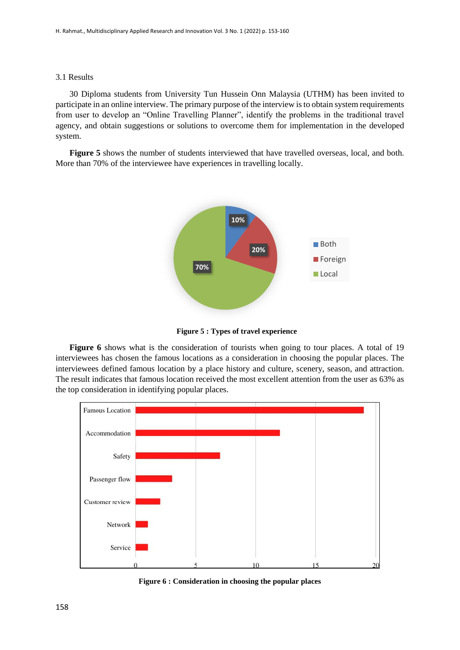#### 3.1 Results

30 Diploma students from University Tun Hussein Onn Malaysia (UTHM) has been invited to participate in an online interview. The primary purpose of the interview is to obtain system requirements from user to develop an "Online Travelling Planner", identify the problems in the traditional travel agency, and obtain suggestions or solutions to overcome them for implementation in the developed system.

**Figure 5** shows the number of students interviewed that have travelled overseas, local, and both. More than 70% of the interviewee have experiences in travelling locally.



**Figure 5 : Types of travel experience**

**Figure 6** shows what is the consideration of tourists when going to tour places. A total of 19 interviewees has chosen the famous locations as a consideration in choosing the popular places. The interviewees defined famous location by a place history and culture, scenery, season, and attraction. The result indicates that famous location received the most excellent attention from the user as 63% as the top consideration in identifying popular places.



**Figure 6 : Consideration in choosing the popular places**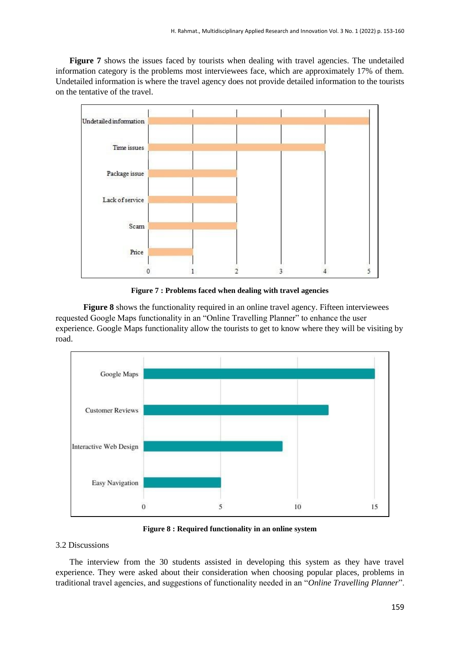**Figure 7** shows the issues faced by tourists when dealing with travel agencies. The undetailed information category is the problems most interviewees face, which are approximately 17% of them. Undetailed information is where the travel agency does not provide detailed information to the tourists on the tentative of the travel.



**Figure 7 : Problems faced when dealing with travel agencies**

**Figure 8** shows the functionality required in an online travel agency. Fifteen interviewees requested Google Maps functionality in an "Online Travelling Planner" to enhance the user experience. Google Maps functionality allow the tourists to get to know where they will be visiting by road.



**Figure 8 : Required functionality in an online system**

## 3.2 Discussions

The interview from the 30 students assisted in developing this system as they have travel experience. They were asked about their consideration when choosing popular places, problems in traditional travel agencies, and suggestions of functionality needed in an "*Online Travelling Planner*".